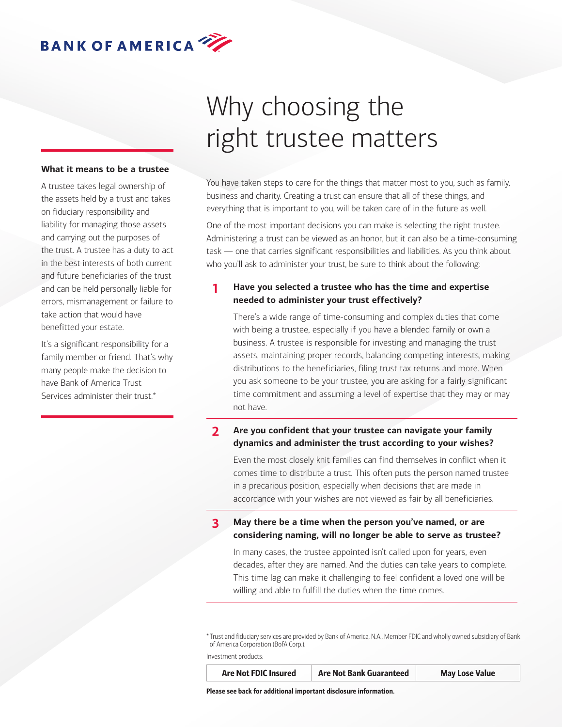#### **What it means to be a trustee**

A trustee takes legal ownership of the assets held by a trust and takes on fiduciary responsibility and liability for managing those assets and carrying out the purposes of the trust. A trustee has a duty to act in the best interests of both current and future beneficiaries of the trust and can be held personally liable for errors, mismanagement or failure to take action that would have benefitted your estate.

It's a significant responsibility for a family member or friend. That's why many people make the decision to have Bank of America Trust Services administer their trust.\*

# Why choosing the right trustee matters

You have taken steps to care for the things that matter most to you, such as family, business and charity. Creating a trust can ensure that all of these things, and everything that is important to you, will be taken care of in the future as well.

One of the most important decisions you can make is selecting the right trustee. Administering a trust can be viewed as an honor, but it can also be a time-consuming task — one that carries significant responsibilities and liabilities. As you think about who you'll ask to administer your trust, be sure to think about the following:

### **1 Have you selected a trustee who has the time and expertise needed to administer your trust effectively?**

There's a wide range of time-consuming and complex duties that come with being a trustee, especially if you have a blended family or own a business. A trustee is responsible for investing and managing the trust assets, maintaining proper records, balancing competing interests, making distributions to the beneficiaries, filing trust tax returns and more. When you ask someone to be your trustee, you are asking for a fairly significant time commitment and assuming a level of expertise that they may or may not have.

#### **2 Are you confident that your trustee can navigate your family dynamics and administer the trust according to your wishes?**

Even the most closely knit families can find themselves in conflict when it comes time to distribute a trust. This often puts the person named trustee in a precarious position, especially when decisions that are made in accordance with your wishes are not viewed as fair by all beneficiaries.

**3 May there be a time when the person you've named, or are considering naming, will no longer be able to serve as trustee?**

In many cases, the trustee appointed isn't called upon for years, even decades, after they are named. And the duties can take years to complete. This time lag can make it challenging to feel confident a loved one will be willing and able to fulfill the duties when the time comes.

\* Trust and fiduciary services are provided by Bank of America, N.A., Member FDIC and wholly owned subsidiary of Bank of America Corporation (BofA Corp.).

Investment products:

Are Not FDIC Insured Are Not Bank Guaranteed May Lose Value

Please see back for additional important disclosure information.